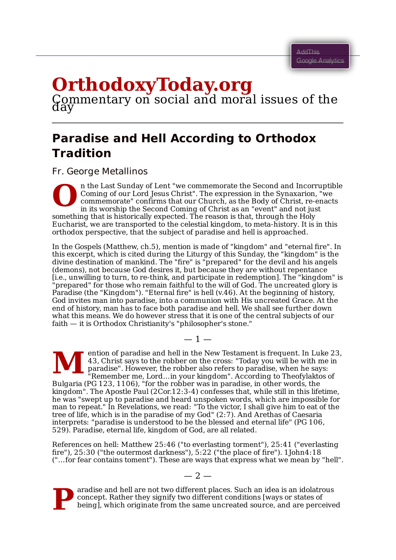## **OrthodoxyToday.org**<br>Commentary on social and moral issues of the<br>day

## **Paradise and Hell According to Orthodox Tradition**

Fr. George Metallinos

**O** n the Last Sunday of Lent "we commemorate the Second and Incorruptible Coming of our Lord Jesus Christ". The expression in the Synaxarion, "we commemorate" confirms that our Church, as the Body of Christ, re-enacts in its worship the Second Coming of Christ as an "event" and not just something that is historically expected. The reason is that, through the Holy Eucharist, we are transported to the celestial kingdom, to meta-history. It is in this orthodox perspective, that the subject of paradise and hell is approached.

In the Gospels (Matthew, ch.5), mention is made of "kingdom" and "eternal fire". In this excerpt, which is cited during the Liturgy of this Sunday, the "kingdom" is the divine destination of mankind. The "fire" is "prepared" for the devil and his angels (demons), not because God desires it, but because they are without repentance [i.e., unwilling to turn, to re-think, and participate in redemption]. The "kingdom" is "prepared" for those who remain faithful to the will of God. The uncreated glory is Paradise (the "Kingdom"). "Eternal fire" is hell (v.46). At the beginning of history, God invites man into paradise, into a communion with His uncreated Grace. At the end of history, man has to face both paradise and hell. We shall see further down what this means. We do however stress that it is one of the central subjects of our faith — it is Orthodox Christianity's "philosopher's stone."

**M** ention of paradise and hell in the New Testament is frequent. In Luke 23, 43, Christ says to the robber on the cross: "Today you will be with me in paradise". However, the robber also refers to paradise, when he says: "Remember me, Lord…in your kingdom". According to Theofylaktos of Bulgaria (PG 123, 1106), "for the robber was in paradise, in other words, the kingdom". The Apostle Paul (2Cor.12:3-4) confesses that, while still in this lifetime, he was "swept up to paradise and heard unspoken words, which are impossible for man to repeat." In Revelations, we read: "To the victor, I shall give him to eat of the tree of life, which is in the paradise of my God" (2:7). And Arethas of Caesaria interprets: "paradise is understood to be the blessed and eternal life" (PG 106, 529). Paradise, eternal life, kingdom of God, are all related.

 $-1-$ 

References on hell: Matthew 25:46 ("to everlasting torment"), 25:41 ("everlasting fire"), 25:30 ("the outermost darkness"), 5:22 ("the place of fire"). 1John4:18 ("…for fear contains toment"). These are ways that express what we mean by "hell".



aradise and hell are not two different places. Such an idea is an idolatrous concept. Rather they signify two different conditions [ways or states of being], which originate from the same uncreated source, and are perceived